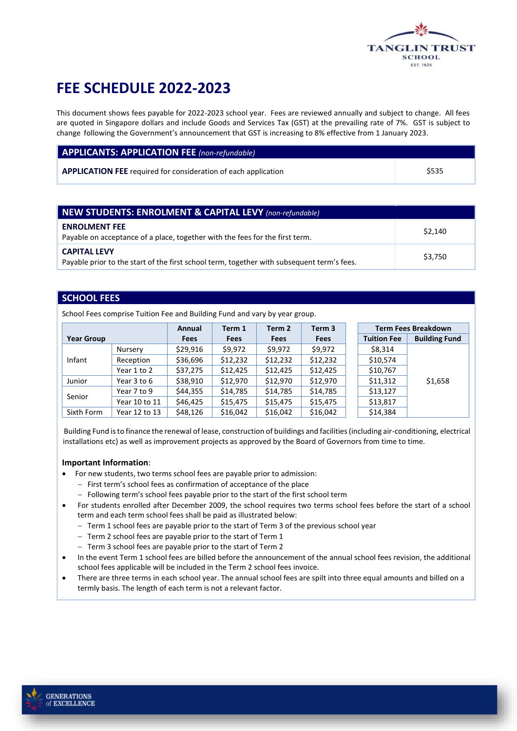

# **FEE SCHEDULE 2022-2023**

This document shows fees payable for 2022-2023 school year. Fees are reviewed annually and subject to change. All fees are quoted in Singapore dollars and include Goods and Services Tax (GST) at the prevailing rate of 7%. GST is subject to change following the Government's announcement that GST is increasing to 8% effective from 1 January 2023.

#### **APPLICANTS: APPLICATION FEE** *(non-refundable)*

**APPLICATION FEE** required for consideration of each application \$535

| <b>NEW STUDENTS: ENROLMENT &amp; CAPITAL LEVY</b> (non-refundable)                                                |         |  |
|-------------------------------------------------------------------------------------------------------------------|---------|--|
| <b>ENROLMENT FEE</b><br>Payable on acceptance of a place, together with the fees for the first term.              | \$2,140 |  |
| <b>CAPITAL LEVY</b><br>Payable prior to the start of the first school term, together with subsequent term's fees. | \$3,750 |  |

#### **SCHOOL FEES**

School Fees comprise Tuition Fee and Building Fund and vary by year group.

|                   |               | Annual      | Term 1      | Term 2      | Term 3      |                    | <b>Term Fees Breakdown</b> |
|-------------------|---------------|-------------|-------------|-------------|-------------|--------------------|----------------------------|
| <b>Year Group</b> |               | <b>Fees</b> | <b>Fees</b> | <b>Fees</b> | <b>Fees</b> | <b>Tuition Fee</b> | <b>Building Fund</b>       |
|                   | Nursery       | \$29,916    | \$9,972     | \$9,972     | \$9.972     | \$8,314            |                            |
| Infant            | Reception     | \$36,696    | \$12,232    | \$12,232    | \$12,232    | \$10,574           |                            |
|                   | Year 1 to 2   | \$37,275    | \$12,425    | \$12,425    | \$12,425    | \$10,767           |                            |
| Junior            | Year 3 to 6   | \$38,910    | \$12,970    | \$12,970    | \$12,970    | \$11,312           | \$1,658                    |
| Senior            | Year 7 to 9   | \$44,355    | \$14,785    | \$14,785    | \$14,785    | \$13,127           |                            |
|                   | Year 10 to 11 | \$46,425    | \$15,475    | \$15,475    | \$15,475    | \$13,817           |                            |
| Sixth Form        | Year 12 to 13 | \$48,126    | \$16,042    | \$16,042    | \$16,042    | \$14,384           |                            |

Building Fund is to finance the renewal of lease, construction of buildings and facilities (including air-conditioning, electrical installations etc) as well as improvement projects as approved by the Board of Governors from time to time.

#### **Important Information**:

- For new students, two terms school fees are payable prior to admission:
	- − First term's school fees as confirmation of acceptance of the place
	- − Following term's school fees payable prior to the start of the first school term
- For students enrolled after December 2009, the school requires two terms school fees before the start of a school term and each term school fees shall be paid as illustrated below:
	- − Term 1 school fees are payable prior to the start of Term 3 of the previous school year
	- − Term 2 school fees are payable prior to the start of Term 1
	- − Term 3 school fees are payable prior to the start of Term 2
- In the event Term 1 school fees are billed before the announcement of the annual school fees revision, the additional school fees applicable will be included in the Term 2 school fees invoice.
- There are three terms in each school year. The annual school fees are spilt into three equal amounts and billed on a termly basis. The length of each term is not a relevant factor.

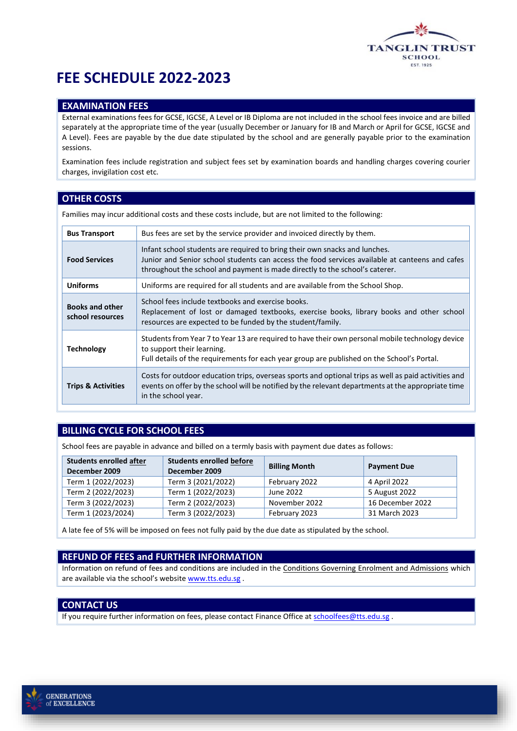

# **FEE SCHEDULE 2022-2023**

#### **EXAMINATION FEES**

External examinations fees for GCSE, IGCSE, A Level or IB Diploma are not included in the school fees invoice and are billed separately at the appropriate time of the year (usually December or January for IB and March or April for GCSE, IGCSE and A Level). Fees are payable by the due date stipulated by the school and are generally payable prior to the examination sessions.

Examination fees include registration and subject fees set by examination boards and handling charges covering courier charges, invigilation cost etc.

### **OTHER COSTS**

Families may incur additional costs and these costs include, but are not limited to the following:

| <b>Bus Transport</b>                       | Bus fees are set by the service provider and invoiced directly by them.                                                                                                                                                                                     |
|--------------------------------------------|-------------------------------------------------------------------------------------------------------------------------------------------------------------------------------------------------------------------------------------------------------------|
| <b>Food Services</b>                       | Infant school students are required to bring their own snacks and lunches.<br>Junior and Senior school students can access the food services available at canteens and cafes<br>throughout the school and payment is made directly to the school's caterer. |
| <b>Uniforms</b>                            | Uniforms are required for all students and are available from the School Shop.                                                                                                                                                                              |
| <b>Books and other</b><br>school resources | School fees include textbooks and exercise books.<br>Replacement of lost or damaged textbooks, exercise books, library books and other school<br>resources are expected to be funded by the student/family.                                                 |
| <b>Technology</b>                          | Students from Year 7 to Year 13 are required to have their own personal mobile technology device<br>to support their learning.<br>Full details of the requirements for each year group are published on the School's Portal.                                |
| <b>Trips &amp; Activities</b>              | Costs for outdoor education trips, overseas sports and optional trips as well as paid activities and<br>events on offer by the school will be notified by the relevant departments at the appropriate time<br>in the school year.                           |

## **BILLING CYCLE FOR SCHOOL FEES**

School fees are payable in advance and billed on a termly basis with payment due dates as follows:

| <b>Students enrolled after</b><br>December 2009 | <b>Students enrolled before</b><br>December 2009 | <b>Billing Month</b> | <b>Payment Due</b> |
|-------------------------------------------------|--------------------------------------------------|----------------------|--------------------|
| Term 1 (2022/2023)                              | Term 3 (2021/2022)                               | February 2022        | 4 April 2022       |
| Term 2 (2022/2023)                              | Term 1 (2022/2023)                               | June 2022            | 5 August 2022      |
| Term 3 (2022/2023)                              | Term 2 (2022/2023)                               | November 2022        | 16 December 2022   |
| Term 1 (2023/2024)                              | Term 3 (2022/2023)                               | February 2023        | 31 March 2023      |

A late fee of 5% will be imposed on fees not fully paid by the due date as stipulated by the school.

#### **REFUND OF FEES and FURTHER INFORMATION**

Information on refund of fees and conditions are included in the Conditions Governing Enrolment and Admissions which are available via the school's websit[e www.tts.edu.sg](http://www.tts.edu.sg/) .

### **CONTACT US**

If you require further information on fees, please contact Finance Office a[t schoolfees@tts.edu.sg](mailto:schoolfees@tts.edu.sg).